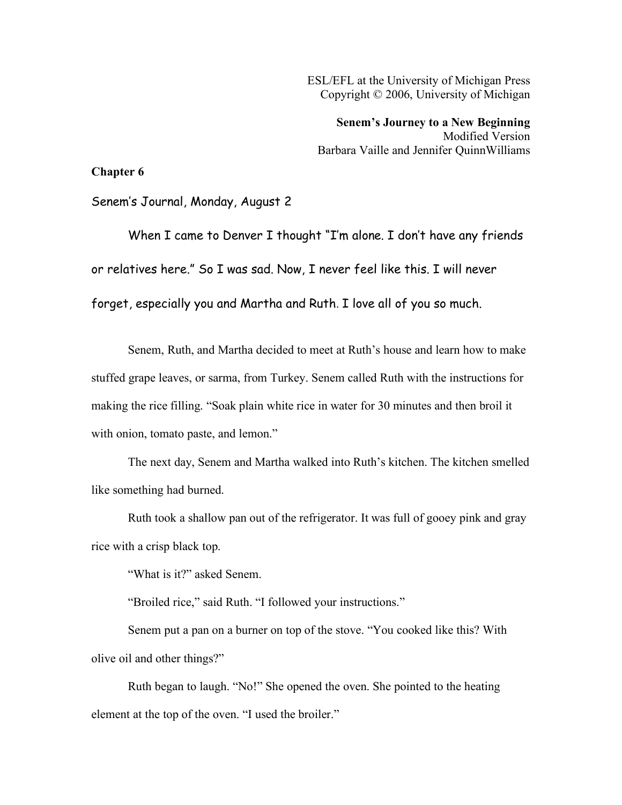ESL/EFL at the University of Michigan Press Copyright © 2006, University of Michigan

**Senem's Journey to a New Beginning** Modified Version Barbara Vaille and Jennifer QuinnWilliams

## **Chapter 6**

Senem's Journal, Monday, August 2

When I came to Denver I thought "I'm alone. I don't have any friends or relatives here." So I was sad. Now, I never feel like this. I will never

forget, especially you and Martha and Ruth. I love all of you so much.

Senem, Ruth, and Martha decided to meet at Ruth's house and learn how to make stuffed grape leaves, or sarma, from Turkey. Senem called Ruth with the instructions for making the rice filling. "Soak plain white rice in water for 30 minutes and then broil it with onion, tomato paste, and lemon."

The next day, Senem and Martha walked into Ruth's kitchen. The kitchen smelled like something had burned.

Ruth took a shallow pan out of the refrigerator. It was full of gooey pink and gray rice with a crisp black top.

"What is it?" asked Senem.

"Broiled rice," said Ruth. "I followed your instructions."

Senem put a pan on a burner on top of the stove. "You cooked like this? With olive oil and other things?"

Ruth began to laugh. "No!" She opened the oven. She pointed to the heating element at the top of the oven. "I used the broiler."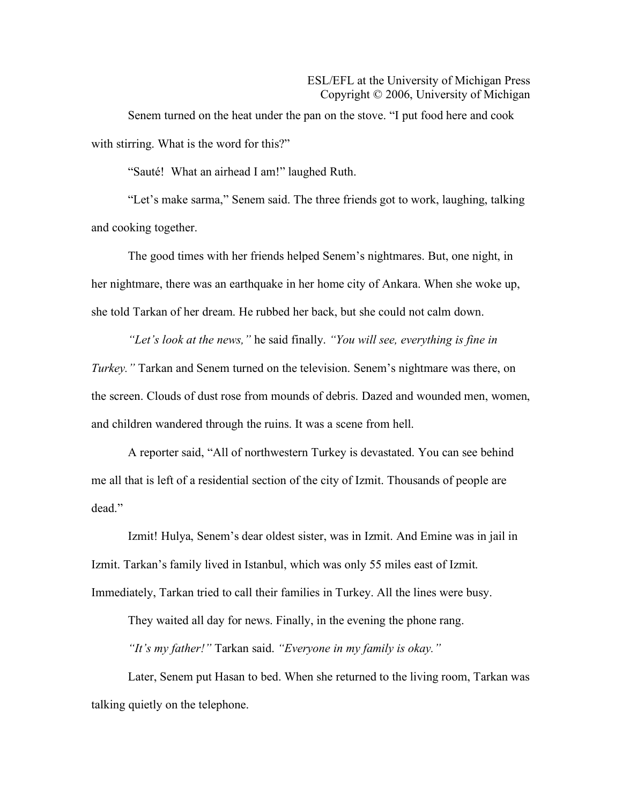Senem turned on the heat under the pan on the stove. "I put food here and cook with stirring. What is the word for this?"

"Sauté! What an airhead I am!" laughed Ruth.

"Let's make sarma," Senem said. The three friends got to work, laughing, talking and cooking together.

The good times with her friends helped Senem's nightmares. But, one night, in her nightmare, there was an earthquake in her home city of Ankara. When she woke up, she told Tarkan of her dream. He rubbed her back, but she could not calm down.

*"Let's look at the news,"* he said finally. *"You will see, everything is fine in Turkey."* Tarkan and Senem turned on the television. Senem's nightmare was there, on the screen. Clouds of dust rose from mounds of debris. Dazed and wounded men, women, and children wandered through the ruins. It was a scene from hell.

A reporter said, "All of northwestern Turkey is devastated. You can see behind me all that is left of a residential section of the city of Izmit. Thousands of people are dead."

Izmit! Hulya, Senem's dear oldest sister, was in Izmit. And Emine was in jail in Izmit. Tarkan's family lived in Istanbul, which was only 55 miles east of Izmit. Immediately, Tarkan tried to call their families in Turkey. All the lines were busy.

They waited all day for news. Finally, in the evening the phone rang.

*"It's my father!"* Tarkan said. *"Everyone in my family is okay."*

Later, Senem put Hasan to bed. When she returned to the living room, Tarkan was talking quietly on the telephone.